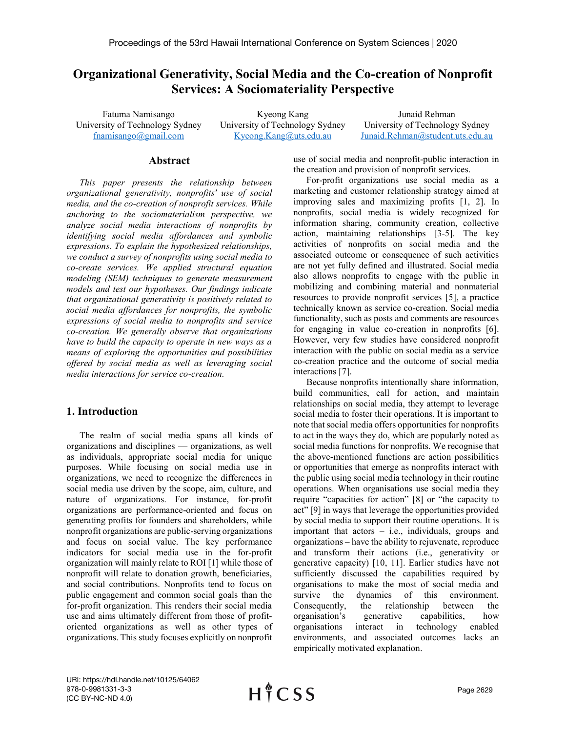# **Organizational Generativity, Social Media and the Co-creation of Nonprofit Services: A Sociomateriality Perspective**

University of Technology Sydney University of Technology Sydney University of Technology Sydney

Fatuma Namisango  $\blacksquare$  Kyeong Kang  $\blacksquare$  Junaid Rehman [fnamisango@gmail.com](mailto:fnamisango@gmail.com) [Kyeong.Kang@uts.edu.au](mailto:Kyeong.Kang@uts.edu.au) [Junaid.Rehman@student.uts.edu.au](mailto:Junaid.Rehman@student.uts.edu.au)

#### **Abstract**

*This paper presents the relationship between organizational generativity, nonprofits' use of social media, and the co-creation of nonprofit services. While anchoring to the sociomaterialism perspective, we analyze social media interactions of nonprofits by identifying social media affordances and symbolic expressions. To explain the hypothesized relationships, we conduct a survey of nonprofits using social media to co-create services. We applied structural equation modeling (SEM) techniques to generate measurement models and test our hypotheses. Our findings indicate that organizational generativity is positively related to social media affordances for nonprofits, the symbolic expressions of social media to nonprofits and service co-creation. We generally observe that organizations have to build the capacity to operate in new ways as a means of exploring the opportunities and possibilities offered by social media as well as leveraging social media interactions for service co-creation.* 

### **1. Introduction**

The realm of social media spans all kinds of organizations and disciplines — organizations, as well as individuals, appropriate social media for unique purposes. While focusing on social media use in organizations, we need to recognize the differences in social media use driven by the scope, aim, culture, and nature of organizations. For instance, for-profit organizations are performance-oriented and focus on generating profits for founders and shareholders, while nonprofit organizations are public-serving organizations and focus on social value. The key performance indicators for social media use in the for-profit organization will mainly relate to ROI [1] while those of nonprofit will relate to donation growth, beneficiaries, and social contributions. Nonprofits tend to focus on public engagement and common social goals than the for-profit organization. This renders their social media use and aims ultimately different from those of profitoriented organizations as well as other types of organizations. This study focuses explicitly on nonprofit use of social media and nonprofit-public interaction in the creation and provision of nonprofit services.

For-profit organizations use social media as a marketing and customer relationship strategy aimed at improving sales and maximizing profits [1, 2]. In nonprofits, social media is widely recognized for information sharing, community creation, collective action, maintaining relationships [3-5]. The key activities of nonprofits on social media and the associated outcome or consequence of such activities are not yet fully defined and illustrated. Social media also allows nonprofits to engage with the public in mobilizing and combining material and nonmaterial resources to provide nonprofit services [5], a practice technically known as service co-creation. Social media functionality, such as posts and comments are resources for engaging in value co-creation in nonprofits [6]. However, very few studies have considered nonprofit interaction with the public on social media as a service co-creation practice and the outcome of social media interactions [7].

Because nonprofits intentionally share information, build communities, call for action, and maintain relationships on social media, they attempt to leverage social media to foster their operations. It is important to note that social media offers opportunities for nonprofits to act in the ways they do, which are popularly noted as social media functions for nonprofits. We recognise that the above-mentioned functions are action possibilities or opportunities that emerge as nonprofits interact with the public using social media technology in their routine operations. When organisations use social media they require "capacities for action" [8] or "the capacity to act" [9] in ways that leverage the opportunities provided by social media to support their routine operations. It is important that actors – i.e., individuals, groups and organizations – have the ability to rejuvenate, reproduce and transform their actions (i.e., generativity or generative capacity) [10, 11]. Earlier studies have not sufficiently discussed the capabilities required by organisations to make the most of social media and survive the dynamics of this environment. Consequently, the relationship between the organisation's generative capabilities, how organisations interact in technology enabled environments, and associated outcomes lacks an empirically motivated explanation.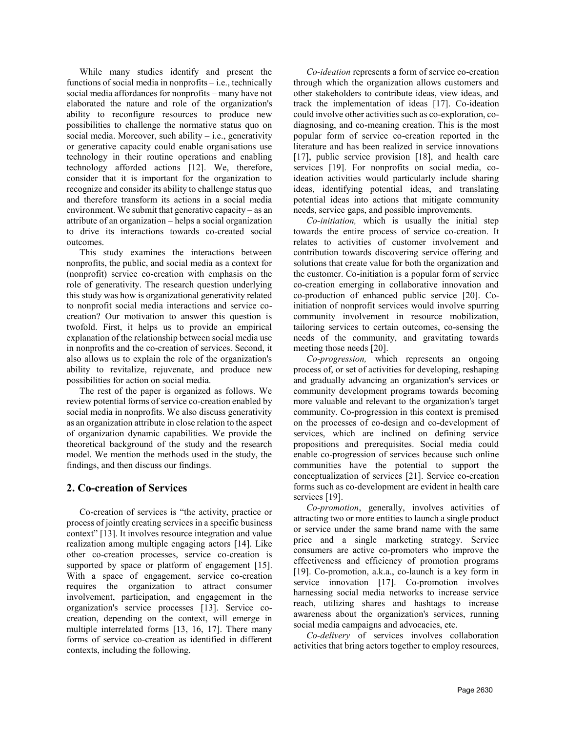While many studies identify and present the functions of social media in nonprofits – i.e., technically social media affordances for nonprofits – many have not elaborated the nature and role of the organization's ability to reconfigure resources to produce new possibilities to challenge the normative status quo on social media. Moreover, such ability  $-$  i.e., generativity or generative capacity could enable organisations use technology in their routine operations and enabling technology afforded actions [12]. We, therefore, consider that it is important for the organization to recognize and consider its ability to challenge status quo and therefore transform its actions in a social media environment. We submit that generative capacity – as an attribute of an organization – helps a social organization to drive its interactions towards co-created social outcomes.

This study examines the interactions between nonprofits, the public, and social media as a context for (nonprofit) service co-creation with emphasis on the role of generativity. The research question underlying this study was how is organizational generativity related to nonprofit social media interactions and service cocreation? Our motivation to answer this question is twofold. First, it helps us to provide an empirical explanation of the relationship between social media use in nonprofits and the co-creation of services. Second, it also allows us to explain the role of the organization's ability to revitalize, rejuvenate, and produce new possibilities for action on social media.

The rest of the paper is organized as follows. We review potential forms of service co-creation enabled by social media in nonprofits. We also discuss generativity as an organization attribute in close relation to the aspect of organization dynamic capabilities. We provide the theoretical background of the study and the research model. We mention the methods used in the study, the findings, and then discuss our findings.

# **2. Co-creation of Services**

Co-creation of services is "the activity, practice or process of jointly creating services in a specific business context" [13]. It involves resource integration and value realization among multiple engaging actors [14]. Like other co-creation processes, service co-creation is supported by space or platform of engagement [15]. With a space of engagement, service co-creation requires the organization to attract consumer involvement, participation, and engagement in the organization's service processes [13]. Service cocreation, depending on the context, will emerge in multiple interrelated forms [13, 16, 17]. There many forms of service co-creation as identified in different contexts, including the following.

*Co-ideation* represents a form of service co-creation through which the organization allows customers and other stakeholders to contribute ideas, view ideas, and track the implementation of ideas [17]. Co-ideation could involve other activities such as co-exploration, codiagnosing, and co-meaning creation. This is the most popular form of service co-creation reported in the literature and has been realized in service innovations [17], public service provision [18], and health care services [19]. For nonprofits on social media, coideation activities would particularly include sharing ideas, identifying potential ideas, and translating potential ideas into actions that mitigate community needs, service gaps, and possible improvements.

*Co-initiation,* which is usually the initial step towards the entire process of service co-creation. It relates to activities of customer involvement and contribution towards discovering service offering and solutions that create value for both the organization and the customer. Co-initiation is a popular form of service co-creation emerging in collaborative innovation and co-production of enhanced public service [20]. Coinitiation of nonprofit services would involve spurring community involvement in resource mobilization, tailoring services to certain outcomes, co-sensing the needs of the community, and gravitating towards meeting those needs [20].

*Co-progression,* which represents an ongoing process of, or set of activities for developing, reshaping and gradually advancing an organization's services or community development programs towards becoming more valuable and relevant to the organization's target community. Co-progression in this context is premised on the processes of co-design and co-development of services, which are inclined on defining service propositions and prerequisites. Social media could enable co-progression of services because such online communities have the potential to support the conceptualization of services [21]. Service co-creation forms such as co-development are evident in health care services [19].

*Co-promotion*, generally, involves activities of attracting two or more entities to launch a single product or service under the same brand name with the same price and a single marketing strategy. Service consumers are active co-promoters who improve the effectiveness and efficiency of promotion programs [19]. Co-promotion, a.k.a., co-launch is a key form in service innovation [17]. Co-promotion involves harnessing social media networks to increase service reach, utilizing shares and hashtags to increase awareness about the organization's services, running social media campaigns and advocacies, etc.

*Co-delivery* of services involves collaboration activities that bring actors together to employ resources,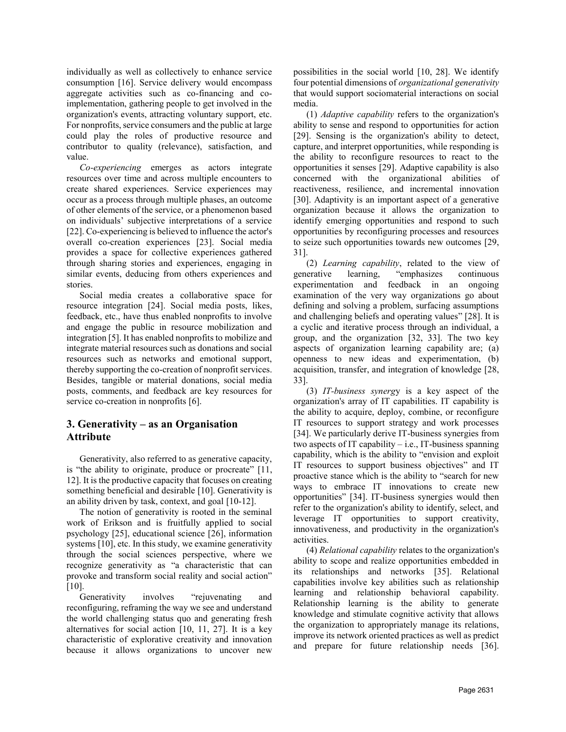individually as well as collectively to enhance service consumption [16]. Service delivery would encompass aggregate activities such as co-financing and coimplementation, gathering people to get involved in the organization's events, attracting voluntary support, etc. For nonprofits, service consumers and the public at large could play the roles of productive resource and contributor to quality (relevance), satisfaction, and value.

*Co-experiencing* emerges as actors integrate resources over time and across multiple encounters to create shared experiences. Service experiences may occur as a process through multiple phases, an outcome of other elements of the service, or a phenomenon based on individuals' subjective interpretations of a service [22]. Co-experiencing is believed to influence the actor's overall co-creation experiences [23]. Social media provides a space for collective experiences gathered through sharing stories and experiences, engaging in similar events, deducing from others experiences and stories.

Social media creates a collaborative space for resource integration [24]. Social media posts, likes, feedback, etc., have thus enabled nonprofits to involve and engage the public in resource mobilization and integration [5]. It has enabled nonprofits to mobilize and integrate material resources such as donations and social resources such as networks and emotional support, thereby supporting the co-creation of nonprofit services. Besides, tangible or material donations, social media posts, comments, and feedback are key resources for service co-creation in nonprofits [6].

# **3. Generativity – as an Organisation Attribute**

Generativity, also referred to as generative capacity, is "the ability to originate, produce or procreate" [11, 12]. It is the productive capacity that focuses on creating something beneficial and desirable [10]. Generativity is an ability driven by task, context, and goal [10-12].

The notion of generativity is rooted in the seminal work of Erikson and is fruitfully applied to social psychology [25], educational science [26], information systems [10], etc. In this study, we examine generativity through the social sciences perspective, where we recognize generativity as "a characteristic that can provoke and transform social reality and social action" [10].

Generativity involves "rejuvenating and reconfiguring, reframing the way we see and understand the world challenging status quo and generating fresh alternatives for social action [10, 11, 27]. It is a key characteristic of explorative creativity and innovation because it allows organizations to uncover new possibilities in the social world [10, 28]. We identify four potential dimensions of *organizational generativity* that would support sociomaterial interactions on social media.

(1) *Adaptive capability* refers to the organization's ability to sense and respond to opportunities for action [29]. Sensing is the organization's ability to detect, capture, and interpret opportunities, while responding is the ability to reconfigure resources to react to the opportunities it senses [29]. Adaptive capability is also concerned with the organizational abilities of reactiveness, resilience, and incremental innovation [30]. Adaptivity is an important aspect of a generative organization because it allows the organization to identify emerging opportunities and respond to such opportunities by reconfiguring processes and resources to seize such opportunities towards new outcomes [29, 31].

(2) *Learning capability*, related to the view of generative learning, "emphasizes continuous experimentation and feedback in an ongoing examination of the very way organizations go about defining and solving a problem, surfacing assumptions and challenging beliefs and operating values" [28]. It is a cyclic and iterative process through an individual, a group, and the organization [32, 33]. The two key aspects of organization learning capability are; (a) openness to new ideas and experimentation, (b) acquisition, transfer, and integration of knowledge [28, 33].

(3) *IT-business synerg*y is a key aspect of the organization's array of IT capabilities. IT capability is the ability to acquire, deploy, combine, or reconfigure IT resources to support strategy and work processes [34]. We particularly derive IT-business synergies from two aspects of IT capability  $-$  i.e., IT-business spanning capability, which is the ability to "envision and exploit IT resources to support business objectives" and IT proactive stance which is the ability to "search for new ways to embrace IT innovations to create new opportunities" [34]. IT-business synergies would then refer to the organization's ability to identify, select, and leverage IT opportunities to support creativity, innovativeness, and productivity in the organization's activities.

(4) *Relational capability* relates to the organization's ability to scope and realize opportunities embedded in its relationships and networks [35]. Relational capabilities involve key abilities such as relationship learning and relationship behavioral capability. Relationship learning is the ability to generate knowledge and stimulate cognitive activity that allows the organization to appropriately manage its relations, improve its network oriented practices as well as predict and prepare for future relationship needs [36].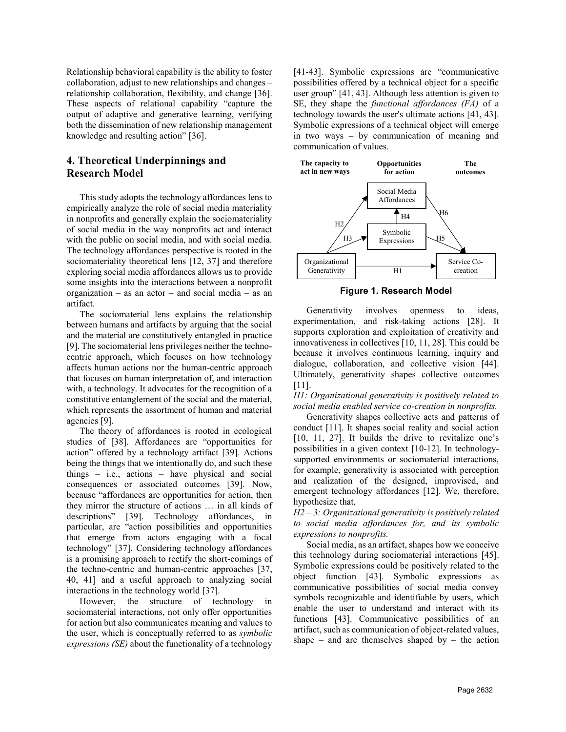Relationship behavioral capability is the ability to foster collaboration, adjust to new relationships and changes – relationship collaboration, flexibility, and change [36]. These aspects of relational capability "capture the output of adaptive and generative learning, verifying both the dissemination of new relationship management knowledge and resulting action" [36].

## **4. Theoretical Underpinnings and Research Model**

This study adopts the technology affordances lens to empirically analyze the role of social media materiality in nonprofits and generally explain the sociomateriality of social media in the way nonprofits act and interact with the public on social media, and with social media. The technology affordances perspective is rooted in the sociomateriality theoretical lens [12, 37] and therefore exploring social media affordances allows us to provide some insights into the interactions between a nonprofit organization – as an actor – and social media – as an artifact.

The sociomaterial lens explains the relationship between humans and artifacts by arguing that the social and the material are constitutively entangled in practice [9]. The sociomaterial lens privileges neither the technocentric approach, which focuses on how technology affects human actions nor the human-centric approach that focuses on human interpretation of, and interaction with, a technology. It advocates for the recognition of a constitutive entanglement of the social and the material, which represents the assortment of human and material agencies [9].

The theory of affordances is rooted in ecological studies of [38]. Affordances are "opportunities for action" offered by a technology artifact [39]. Actions being the things that we intentionally do, and such these things – i.e., actions – have physical and social consequences or associated outcomes [39]. Now, because "affordances are opportunities for action, then they mirror the structure of actions … in all kinds of descriptions" [39]. Technology affordances, in particular, are "action possibilities and opportunities that emerge from actors engaging with a focal technology" [37]. Considering technology affordances is a promising approach to rectify the short-comings of the techno-centric and human-centric approaches [37, 40, 41] and a useful approach to analyzing social interactions in the technology world [37].

However, the structure of technology in sociomaterial interactions, not only offer opportunities for action but also communicates meaning and values to the user, which is conceptually referred to as *symbolic expressions (SE)* about the functionality of a technology [41-43]. Symbolic expressions are "communicative possibilities offered by a technical object for a specific user group" [41, 43]. Although less attention is given to SE, they shape the *functional affordances (FA)* of a technology towards the user's ultimate actions [41, 43]. Symbolic expressions of a technical object will emerge in two ways – by communication of meaning and communication of values.



**Figure 1. Research Model**

Generativity involves openness to ideas, experimentation, and risk-taking actions [28]. It supports exploration and exploitation of creativity and innovativeness in collectives [10, 11, 28]. This could be because it involves continuous learning, inquiry and dialogue, collaboration, and collective vision [44]. Ultimately, generativity shapes collective outcomes [11].

*H1: Organizational generativity is positively related to social media enabled service co-creation in nonprofits.*

Generativity shapes collective acts and patterns of conduct [11]. It shapes social reality and social action [10, 11, 27]. It builds the drive to revitalize one's possibilities in a given context [10-12]. In technologysupported environments or sociomaterial interactions, for example, generativity is associated with perception and realization of the designed, improvised, and emergent technology affordances [12]. We, therefore, hypothesize that,

*H2 – 3: Organizational generativity is positively related to social media affordances for, and its symbolic expressions to nonprofits.*

Social media, as an artifact, shapes how we conceive this technology during sociomaterial interactions [45]. Symbolic expressions could be positively related to the object function [43]. Symbolic expressions as communicative possibilities of social media convey symbols recognizable and identifiable by users, which enable the user to understand and interact with its functions [43]. Communicative possibilities of an artifact, such as communication of object-related values, shape – and are themselves shaped by – the action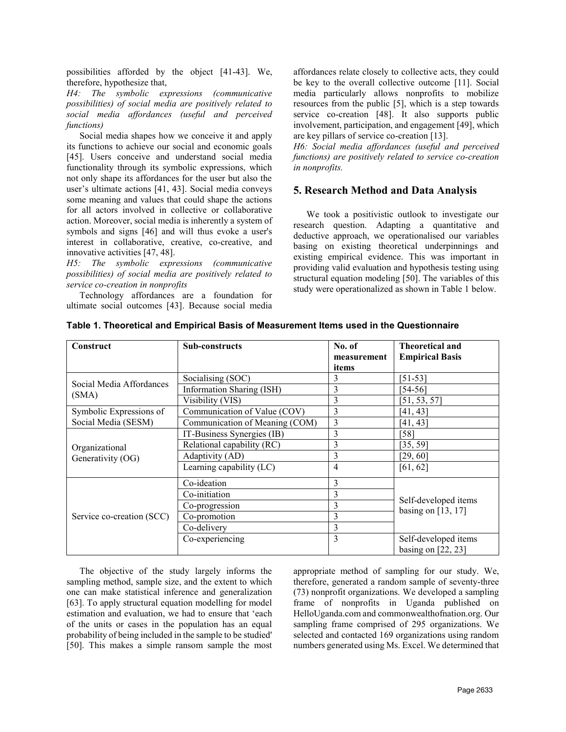possibilities afforded by the object [41-43]. We, therefore, hypothesize that,

*H4: The symbolic expressions (communicative possibilities) of social media are positively related to social media affordances (useful and perceived functions)*

Social media shapes how we conceive it and apply its functions to achieve our social and economic goals [45]. Users conceive and understand social media functionality through its symbolic expressions, which not only shape its affordances for the user but also the user's ultimate actions [41, 43]. Social media conveys some meaning and values that could shape the actions for all actors involved in collective or collaborative action. Moreover, social media is inherently a system of symbols and signs [46] and will thus evoke a user's interest in collaborative, creative, co-creative, and innovative activities [47, 48].

*H5: The symbolic expressions (communicative possibilities) of social media are positively related to service co-creation in nonprofits*

Technology affordances are a foundation for ultimate social outcomes [43]. Because social media affordances relate closely to collective acts, they could be key to the overall collective outcome [11]. Social media particularly allows nonprofits to mobilize resources from the public [5], which is a step towards service co-creation [48]. It also supports public involvement, participation, and engagement [49], which are key pillars of service co-creation [13].

*H6: Social media affordances (useful and perceived functions) are positively related to service co-creation in nonprofits.*

### **5. Research Method and Data Analysis**

We took a positivistic outlook to investigate our research question. Adapting a quantitative and deductive approach, we operationalised our variables basing on existing theoretical underpinnings and existing empirical evidence. This was important in providing valid evaluation and hypothesis testing using structural equation modeling [50]. The variables of this study were operationalized as shown in Table 1 below.

| Construct                 | <b>Sub-constructs</b>          | No. of<br>measurement<br>items | <b>Theoretical and</b><br><b>Empirical Basis</b> |
|---------------------------|--------------------------------|--------------------------------|--------------------------------------------------|
|                           | Socialising (SOC)              | 3                              | [51-53]                                          |
| Social Media Affordances  | Information Sharing (ISH)      | 3                              | [54-56]                                          |
| (SMA)                     | Visibility (VIS)               | 3                              | [51, 53, 57]                                     |
| Symbolic Expressions of   | Communication of Value (COV)   | 3                              | [41, 43]                                         |
| Social Media (SESM)       | Communication of Meaning (COM) | 3                              | [41, 43]                                         |
|                           | IT-Business Synergies (IB)     | 3                              | [58]                                             |
| Organizational            | Relational capability (RC)     | 3                              | [35, 59]                                         |
| Generativity (OG)         | Adaptivity (AD)                | 3                              | [29, 60]                                         |
|                           | Learning capability (LC)       | 4                              | [61, 62]                                         |
|                           | Co-ideation                    | 3                              |                                                  |
|                           | Co-initiation                  | 3                              |                                                  |
| Service co-creation (SCC) | Co-progression                 | 3                              | Self-developed items                             |
|                           | Co-promotion                   | 3                              | basing on $[13, 17]$                             |
|                           | Co-delivery                    | 3                              |                                                  |
|                           | Co-experiencing                | 3                              | Self-developed items<br>basing on $[22, 23]$     |

|  |  |  | Table 1. Theoretical and Empirical Basis of Measurement Items used in the Questionnaire |
|--|--|--|-----------------------------------------------------------------------------------------|
|  |  |  |                                                                                         |

The objective of the study largely informs the sampling method, sample size, and the extent to which one can make statistical inference and generalization [63]. To apply structural equation modelling for model estimation and evaluation, we had to ensure that 'each of the units or cases in the population has an equal probability of being included in the sample to be studied' [50]. This makes a simple ransom sample the most appropriate method of sampling for our study. We, therefore, generated a random sample of seventy-three (73) nonprofit organizations. We developed a sampling frame of nonprofits in Uganda published on HelloUganda.com and commonwealthofnation.org. Our sampling frame comprised of 295 organizations. We selected and contacted 169 organizations using random numbers generated using Ms. Excel. We determined that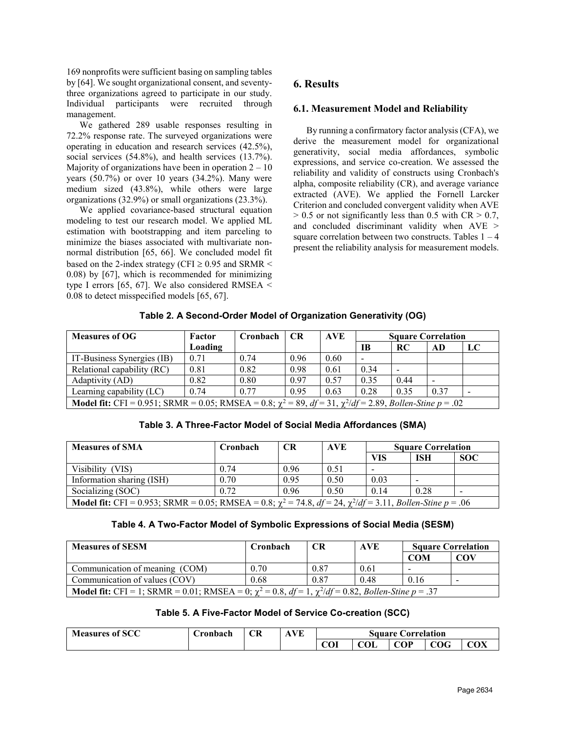169 nonprofits were sufficient basing on sampling tables by [64]. We sought organizational consent, and seventythree organizations agreed to participate in our study. Individual participants were recruited through management.

We gathered 289 usable responses resulting in 72.2% response rate. The surveyed organizations were operating in education and research services (42.5%), social services (54.8%), and health services (13.7%). Majority of organizations have been in operation  $2 - 10$ years  $(50.7%)$  or over 10 years  $(34.2%)$ . Many were medium sized (43.8%), while others were large organizations (32.9%) or small organizations (23.3%).

We applied covariance-based structural equation modeling to test our research model. We applied ML estimation with bootstrapping and item parceling to minimize the biases associated with multivariate nonnormal distribution [65, 66]. We concluded model fit based on the 2-index strategy (CFI  $\geq$  0.95 and SRMR < 0.08) by [67], which is recommended for minimizing type I errors [65, 67]. We also considered RMSEA  $\le$ 0.08 to detect misspecified models [65, 67].

# **6. Results**

### **6.1. Measurement Model and Reliability**

By running a confirmatory factor analysis (CFA), we derive the measurement model for organizational generativity, social media affordances, symbolic expressions, and service co-creation. We assessed the reliability and validity of constructs using Cronbach's alpha, composite reliability (CR), and average variance extracted (AVE). We applied the Fornell Larcker Criterion and concluded convergent validity when AVE  $> 0.5$  or not significantly less than 0.5 with CR  $> 0.7$ , and concluded discriminant validity when AVE > square correlation between two constructs. Tables  $1 - 4$ present the reliability analysis for measurement models.

| <b>Measures of OG</b>                                                                                                          | Factor  | Cronbach | <b>CR</b> | <b>AVE</b> | <b>Square Correlation</b> |      |                          |    |
|--------------------------------------------------------------------------------------------------------------------------------|---------|----------|-----------|------------|---------------------------|------|--------------------------|----|
|                                                                                                                                | Loading |          |           |            | <b>IB</b>                 | RC   | AD                       | LC |
| IT-Business Synergies (IB)                                                                                                     | 0.71    | 0.74     | 0.96      | 0.60       | $\overline{\phantom{0}}$  |      |                          |    |
| Relational capability (RC)                                                                                                     | 0.81    | 0.82     | 0.98      | 0.61       | 0.34                      |      |                          |    |
| Adaptivity (AD)                                                                                                                | 0.82    | 0.80     | 0.97      | 0.57       | 0.35                      | 0.44 | $\overline{\phantom{a}}$ |    |
| Learning capability (LC)                                                                                                       | 0.74    | 0.77     | 0.95      | 0.63       | 0.28                      | 0.35 | 0.37                     |    |
| <b>Model fit:</b> CFI = 0.951; SRMR = 0.05; RMSEA = 0.8; $\chi^2 = 89$ , $df = 31$ , $\chi^2/df = 2.89$ , Bollen-Stine p = .02 |         |          |           |            |                           |      |                          |    |

### **Table 3. A Three-Factor Model of Social Media Affordances (SMA)**

| <b>Measures of SMA</b>                                                                                                                 | Cronbach | <b>CR</b> | <b>AVE</b> | <b>Square Correlation</b> |            |            |
|----------------------------------------------------------------------------------------------------------------------------------------|----------|-----------|------------|---------------------------|------------|------------|
|                                                                                                                                        |          |           |            | VIS                       | <b>ISH</b> | <b>SOC</b> |
| Visibility (VIS)                                                                                                                       | 0.74     | 0.96      | 0.51       |                           |            |            |
| Information sharing (ISH)                                                                                                              | 0.70     | 0.95      | 0.50       | 0.03                      |            |            |
| Socializing (SOC)                                                                                                                      | 0.72     | 0.96      | 0.50       | 0.14                      | 0.28       |            |
| <b>Model fit:</b> CFI = 0.953; SRMR = 0.05; RMSEA = 0.8; $\chi^2$ = 74.8, $df = 24$ , $\chi^2/df = 3.11$ , <i>Bollen-Stine</i> p = .06 |          |           |            |                           |            |            |

| Table 4. A Two-Factor Model of Symbolic Expressions of Social Media (SESM) |  |  |
|----------------------------------------------------------------------------|--|--|
|                                                                            |  |  |

| <b>Measures of SESM</b>                                                                                                  | Cronbach | CR   | <b>AVE</b> |                | <b>Square Correlation</b> |  |  |
|--------------------------------------------------------------------------------------------------------------------------|----------|------|------------|----------------|---------------------------|--|--|
|                                                                                                                          |          |      |            | COM            | COV                       |  |  |
| Communication of meaning (COM)                                                                                           | 0.70     | 0.87 | 0.61       | $\blacksquare$ |                           |  |  |
| Communication of values (COV)                                                                                            | 0.68     | 0.87 | 0.48       | 0.16           | -                         |  |  |
| <b>Model fit:</b> CFI = 1; SRMR = 0.01; RMSEA = 0; $\chi^2 = 0.8$ , $df = 1$ , $\chi^2/df = 0.82$ , Bollen-Stine p = .37 |          |      |            |                |                           |  |  |

### **Table 5. A Five-Factor Model of Service Co-creation (SCC)**

| f SCC<br><b>Measures of</b> | <b>Tonbach</b> | CR<br>$-$ | $\mathbf{X}$ | Correlation<br>Square ( |     |     |     |     |
|-----------------------------|----------------|-----------|--------------|-------------------------|-----|-----|-----|-----|
|                             |                |           |              | COI                     | COL | COP | COG | CΛV |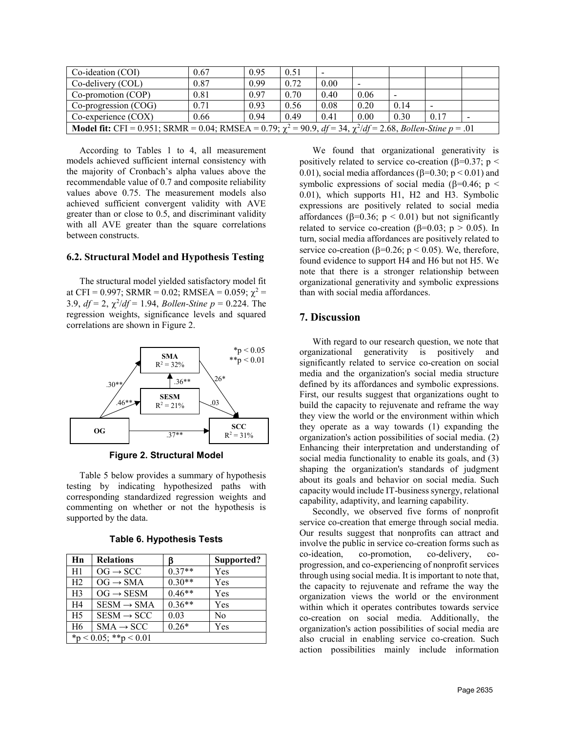| Co-ideation (COI)                                                                                                                | 0.67 | 0.95 | 0.51 | $\overline{\phantom{a}}$ |                          |      |      |                |
|----------------------------------------------------------------------------------------------------------------------------------|------|------|------|--------------------------|--------------------------|------|------|----------------|
| $Co$ -delivery $(COL)$                                                                                                           | 0.87 | 0.99 | 0.72 | 0.00                     | $\overline{\phantom{a}}$ |      |      |                |
| Co-promotion (COP)                                                                                                               | 0.81 | 0.97 | 0.70 | 0.40                     | 0.06                     |      |      |                |
| Co-progression (COG)                                                                                                             | 0.71 | 0.93 | 0.56 | 0.08                     | 0.20                     | 0.14 |      |                |
| $Co$ -experience $(COX)$                                                                                                         | 0.66 | 0.94 | 0.49 | 0.41                     | 0.00                     | 0.30 | 0.17 | $\blacksquare$ |
| <b>Model fit:</b> CFI = 0.951; SRMR = 0.04; RMSEA = 0.79; $\chi^2$ = 90.9, $df = 34$ , $\chi^2/df = 2.68$ , Bollen-Stine p = .01 |      |      |      |                          |                          |      |      |                |

According to Tables 1 to 4, all measurement models achieved sufficient internal consistency with the majority of Cronbach's alpha values above the recommendable value of 0.7 and composite reliability values above 0.75. The measurement models also achieved sufficient convergent validity with AVE greater than or close to 0.5, and discriminant validity with all AVE greater than the square correlations between constructs.

#### **6.2. Structural Model and Hypothesis Testing**

The structural model yielded satisfactory model fit at CFI = 0.997; SRMR = 0.02; RMSEA = 0.059;  $\chi^2$  = 3.9,  $df = 2$ ,  $\chi^2/df = 1.94$ , *Bollen-Stine*  $p = 0.224$ . The regression weights, significance levels and squared correlations are shown in Figure 2.



**Figure 2. Structural Model**

Table 5 below provides a summary of hypothesis testing by indicating hypothesized paths with corresponding standardized regression weights and commenting on whether or not the hypothesis is supported by the data.

| Hn             | <b>Relations</b>       | ß        | Supported? |  |  |  |  |  |
|----------------|------------------------|----------|------------|--|--|--|--|--|
| H1             | $OG \rightarrow SCC$   | $0.37**$ | Yes        |  |  |  |  |  |
| H <sub>2</sub> | $OG \rightarrow SMA$   | $0.30**$ | Yes        |  |  |  |  |  |
| H <sup>3</sup> | $OG \rightarrow$ SESM  | $0.46**$ | Yes        |  |  |  |  |  |
| H <sub>4</sub> | $SESM \rightarrow SMA$ | $0.36**$ | Yes        |  |  |  |  |  |
| H <sub>5</sub> | $SESM \rightarrow SCC$ | 0.03     | No         |  |  |  |  |  |
| H <sub>6</sub> | $SMA \rightarrow SCC$  | $0.26*$  | Yes        |  |  |  |  |  |
|                | *p < 0.05; **p < 0.01  |          |            |  |  |  |  |  |

**Table 6. Hypothesis Tests**

We found that organizational generativity is positively related to service co-creation ( $\beta$ =0.37; p < 0.01), social media affordances ( $\beta$ =0.30; p < 0.01) and symbolic expressions of social media ( $\beta$ =0.46; p < 0.01), which supports H1, H2 and H3. Symbolic expressions are positively related to social media affordances ( $\beta$ =0.36; p < 0.01) but not significantly related to service co-creation ( $\beta$ =0.03; p > 0.05). In turn, social media affordances are positively related to service co-creation ( $\beta$ =0.26; p < 0.05). We, therefore, found evidence to support H4 and H6 but not H5. We note that there is a stronger relationship between organizational generativity and symbolic expressions than with social media affordances.

#### **7. Discussion**

With regard to our research question, we note that organizational generativity is positively and significantly related to service co-creation on social media and the organization's social media structure defined by its affordances and symbolic expressions. First, our results suggest that organizations ought to build the capacity to rejuvenate and reframe the way they view the world or the environment within which they operate as a way towards (1) expanding the organization's action possibilities of social media. (2) Enhancing their interpretation and understanding of social media functionality to enable its goals, and (3) shaping the organization's standards of judgment about its goals and behavior on social media. Such capacity would include IT-business synergy, relational capability, adaptivity, and learning capability.

Secondly, we observed five forms of nonprofit service co-creation that emerge through social media. Our results suggest that nonprofits can attract and involve the public in service co-creation forms such as co-ideation, co-promotion, co-delivery, coprogression, and co-experiencing of nonprofit services through using social media. It is important to note that, the capacity to rejuvenate and reframe the way the organization views the world or the environment within which it operates contributes towards service co-creation on social media. Additionally, the organization's action possibilities of social media are also crucial in enabling service co-creation. Such action possibilities mainly include information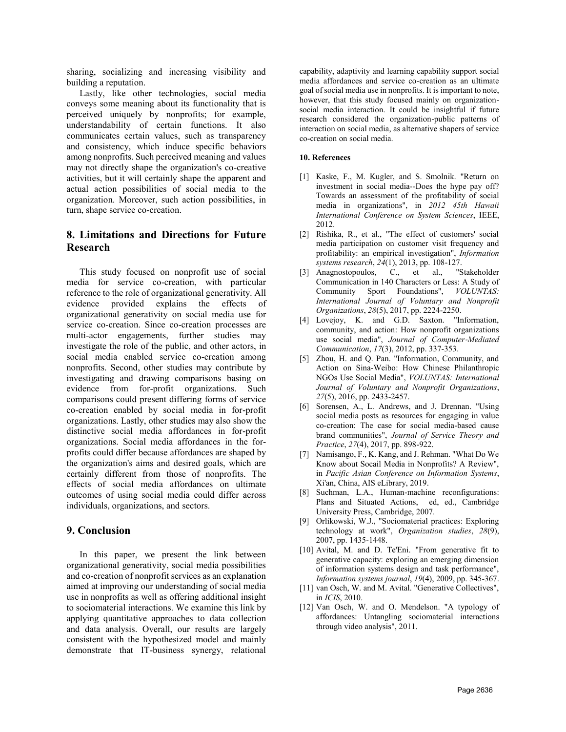sharing, socializing and increasing visibility and building a reputation.

Lastly, like other technologies, social media conveys some meaning about its functionality that is perceived uniquely by nonprofits; for example, understandability of certain functions. It also communicates certain values, such as transparency and consistency, which induce specific behaviors among nonprofits. Such perceived meaning and values may not directly shape the organization's co-creative activities, but it will certainly shape the apparent and actual action possibilities of social media to the organization. Moreover, such action possibilities, in turn, shape service co-creation.

## **8. Limitations and Directions for Future Research**

This study focused on nonprofit use of social media for service co-creation, with particular reference to the role of organizational generativity. All evidence provided explains the effects of organizational generativity on social media use for service co-creation. Since co-creation processes are multi-actor engagements, further studies may investigate the role of the public, and other actors, in social media enabled service co-creation among nonprofits. Second, other studies may contribute by investigating and drawing comparisons basing on evidence from for-profit organizations. Such comparisons could present differing forms of service co-creation enabled by social media in for-profit organizations. Lastly, other studies may also show the distinctive social media affordances in for-profit organizations. Social media affordances in the forprofits could differ because affordances are shaped by the organization's aims and desired goals, which are certainly different from those of nonprofits. The effects of social media affordances on ultimate outcomes of using social media could differ across individuals, organizations, and sectors.

### **9. Conclusion**

In this paper, we present the link between organizational generativity, social media possibilities and co-creation of nonprofit services as an explanation aimed at improving our understanding of social media use in nonprofits as well as offering additional insight to sociomaterial interactions. We examine this link by applying quantitative approaches to data collection and data analysis. Overall, our results are largely consistent with the hypothesized model and mainly demonstrate that IT-business synergy, relational capability, adaptivity and learning capability support social media affordances and service co-creation as an ultimate goal of social media use in nonprofits. It is important to note, however, that this study focused mainly on organizationsocial media interaction. It could be insightful if future research considered the organization-public patterns of interaction on social media, as alternative shapers of service co-creation on social media.

#### **10. References**

- [1] Kaske, F., M. Kugler, and S. Smolnik. "Return on investment in social media--Does the hype pay off? Towards an assessment of the profitability of social media in organizations", in *2012 45th Hawaii International Conference on System Sciences*, IEEE, 2012.
- [2] Rishika, R., et al., "The effect of customers' social media participation on customer visit frequency and profitability: an empirical investigation", *Information systems research*, *24*(1), 2013, pp. 108-127.
- [3] Anagnostopoulos, C., et al., "Stakeholder Communication in 140 Characters or Less: A Study of Community Sport Foundations", *VOLUNTAS: International Journal of Voluntary and Nonprofit Organizations*, *28*(5), 2017, pp. 2224-2250.
- [4] Lovejoy, K. and G.D. Saxton. "Information, community, and action: How nonprofit organizations use social media", *Journal of Computer*‐*Mediated Communication*, *17*(3), 2012, pp. 337-353.
- [5] Zhou, H. and Q. Pan. "Information, Community, and Action on Sina-Weibo: How Chinese Philanthropic NGOs Use Social Media", *VOLUNTAS: International Journal of Voluntary and Nonprofit Organizations*, *27*(5), 2016, pp. 2433-2457.
- [6] Sorensen, A., L. Andrews, and J. Drennan. "Using social media posts as resources for engaging in value co-creation: The case for social media-based cause brand communities", *Journal of Service Theory and Practice*, *27*(4), 2017, pp. 898-922.
- [7] Namisango, F., K. Kang, and J. Rehman. "What Do We Know about Socail Media in Nonprofits? A Review", in *Pacific Asian Conference on Information Systems*, Xi'an, China, AIS eLibrary, 2019.
- [8] Suchman, L.A., Human-machine reconfigurations: Plans and Situated Actions, ed, ed., Cambridge University Press, Cambridge, 2007.
- [9] Orlikowski, W.J., "Sociomaterial practices: Exploring technology at work", *Organization studies*, *28*(9), 2007, pp. 1435-1448.
- [10] Avital, M. and D. Te'Eni. "From generative fit to generative capacity: exploring an emerging dimension of information systems design and task performance", *Information systems journal*, *19*(4), 2009, pp. 345-367.
- [11] van Osch, W. and M. Avital. "Generative Collectives", in *ICIS*, 2010.
- [12] Van Osch, W. and O. Mendelson. "A typology of affordances: Untangling sociomaterial interactions through video analysis", 2011.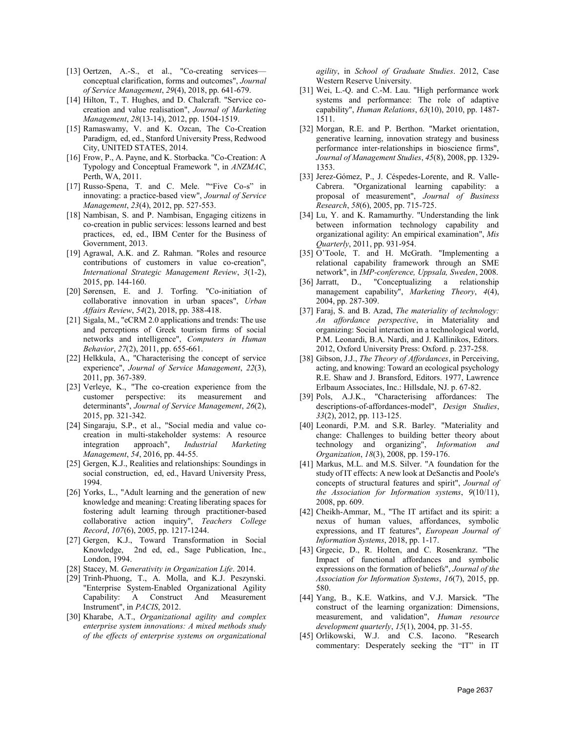- [13] Oertzen, A.-S., et al., "Co-creating services conceptual clarification, forms and outcomes", *Journal of Service Management*, *29*(4), 2018, pp. 641-679.
- [14] Hilton, T., T. Hughes, and D. Chalcraft. "Service cocreation and value realisation", *Journal of Marketing Management*, *28*(13-14), 2012, pp. 1504-1519.
- [15] Ramaswamy, V. and K. Ozcan, The Co-Creation Paradigm, ed, ed., Stanford University Press, Redwood City, UNITED STATES, 2014.
- [16] Frow, P., A. Payne, and K. Storbacka. "Co-Creation: A Typology and Conceptual Framework ", in *ANZMAC*, Perth, WA, 2011.
- [17] Russo-Spena, T. and C. Mele. ""Five Co-s" in innovating: a practice-based view", *Journal of Service Management*, *23*(4), 2012, pp. 527-553.
- [18] Nambisan, S. and P. Nambisan, Engaging citizens in co-creation in public services: lessons learned and best practices, ed, ed., IBM Center for the Business of Government, 2013.
- [19] Agrawal, A.K. and Z. Rahman. "Roles and resource contributions of customers in value co-creation", *International Strategic Management Review*, *3*(1-2), 2015, pp. 144-160.
- [20] Sørensen, E. and J. Torfing. "Co-initiation of collaborative innovation in urban spaces", *Urban Affairs Review*, *54*(2), 2018, pp. 388-418.
- [21] Sigala, M., "eCRM 2.0 applications and trends: The use and perceptions of Greek tourism firms of social networks and intelligence", *Computers in Human Behavior*, *27*(2), 2011, pp. 655-661.
- [22] Helkkula, A., "Characterising the concept of service experience", *Journal of Service Management*, *22*(3), 2011, pp. 367-389.
- [23] Verleye, K., "The co-creation experience from the customer perspective: its measurement and determinants", *Journal of Service Management*, *26*(2), 2015, pp. 321-342.
- [24] Singaraju, S.P., et al., "Social media and value cocreation in multi-stakeholder systems: A resource integration approach", *Industrial Marketing Management*, *54*, 2016, pp. 44-55.
- [25] Gergen, K.J., Realities and relationships: Soundings in social construction, ed, ed., Havard University Press, 1994.
- [26] Yorks, L., "Adult learning and the generation of new knowledge and meaning: Creating liberating spaces for fostering adult learning through practitioner-based collaborative action inquiry", *Teachers College Record*, *107*(6), 2005, pp. 1217-1244.
- [27] Gergen, K.J., Toward Transformation in Social Knowledge, 2nd ed, ed., Sage Publication, Inc., London, 1994.
- [28] Stacey, M. *Generativity in Organization Life*. 2014.
- [29] Trinh-Phuong, T., A. Molla, and K.J. Peszynski. "Enterprise System-Enabled Organizational Agility Capability: A Construct And Measurement Instrument", in *PACIS*, 2012.
- [30] Kharabe, A.T., *Organizational agility and complex enterprise system innovations: A mixed methods study of the effects of enterprise systems on organizational*

*agility*, in *School of Graduate Studies*. 2012, Case Western Reserve University.

- [31] Wei, L.-O. and C.-M. Lau. "High performance work systems and performance: The role of adaptive capability", *Human Relations*, *63*(10), 2010, pp. 1487- 1511.
- [32] Morgan, R.E. and P. Berthon. "Market orientation, generative learning, innovation strategy and business performance inter‐relationships in bioscience firms", *Journal of Management Studies*, *45*(8), 2008, pp. 1329- 1353.
- [33] Jerez-Gómez, P., J. Céspedes-Lorente, and R. Valle-Cabrera. "Organizational learning capability: a proposal of measurement", *Journal of Business Research*, *58*(6), 2005, pp. 715-725.
- [34] Lu, Y. and K. Ramamurthy. "Understanding the link between information technology capability and organizational agility: An empirical examination", *Mis Quarterly*, 2011, pp. 931-954.
- [35] O'Toole, T. and H. McGrath. "Implementing a relational capability framework through an SME network", in *IMP-conference, Uppsala, Sweden*, 2008.
- [36] Jarratt, D., "Conceptualizing a relationship management capability", *Marketing Theory*, *4*(4), 2004, pp. 287-309.
- [37] Faraj, S. and B. Azad, *The materiality of technology: An affordance perspective*, in Materiality and organizing: Social interaction in a technological world, P.M. Leonardi, B.A. Nardi, and J. Kallinikos, Editors. 2012, Oxford University Press: Oxford. p. 237-258.
- [38] Gibson, J.J., *The Theory of Affordances*, in Perceiving, acting, and knowing: Toward an ecological psychology R.E. Shaw and J. Bransford, Editors. 1977, Lawrence Erlbaum Associates, Inc.: Hillsdale, NJ. p. 67-82.
- [39] Pols, A.J.K., "Characterising affordances: The descriptions-of-affordances-model", *Design Studies*, *33*(2), 2012, pp. 113-125.
- [40] Leonardi, P.M. and S.R. Barley. "Materiality and change: Challenges to building better theory about technology and organizing", *Information and Organization*, *18*(3), 2008, pp. 159-176.
- [41] Markus, M.L. and M.S. Silver. "A foundation for the study of IT effects: A new look at DeSanctis and Poole's concepts of structural features and spirit", *Journal of the Association for Information systems*, *9*(10/11), 2008, pp. 609.
- [42] Cheikh-Ammar, M., "The IT artifact and its spirit: a nexus of human values, affordances, symbolic expressions, and IT features", *European Journal of Information Systems*, 2018, pp. 1-17.
- [43] Grgecic, D., R. Holten, and C. Rosenkranz. "The Impact of functional affordances and symbolic expressions on the formation of beliefs", *Journal of the Association for Information Systems*, *16*(7), 2015, pp. 580.
- [44] Yang, B., K.E. Watkins, and V.J. Marsick. "The construct of the learning organization: Dimensions, measurement, and validation", *Human resource development quarterly*, *15*(1), 2004, pp. 31-55.
- [45] Orlikowski, W.J. and C.S. Iacono. "Research commentary: Desperately seeking the "IT" in IT